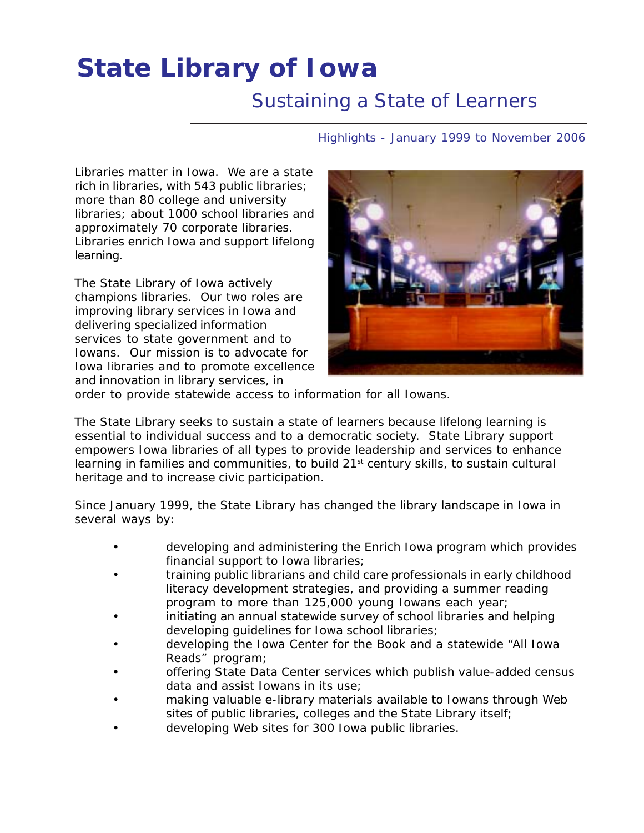# **State Library of Iowa**

# *Sustaining a State of Learners*

Highlights - January 1999 to November 2006

Libraries matter in Iowa. We are a state rich in libraries, with 543 public libraries; more than 80 college and university libraries; about 1000 school libraries and approximately 70 corporate libraries. Libraries enrich Iowa and support lifelong learning.

The State Library of Iowa actively champions libraries. Our two roles are improving library services in Iowa and delivering specialized information services to state government and to Iowans. Our mission is to advocate for Iowa libraries and to promote excellence and innovation in library services, in



order to provide statewide access to information for all Iowans.

The State Library seeks to sustain a state of learners because lifelong learning is essential to individual success and to a democratic society. State Library support empowers Iowa libraries of all types to provide leadership and services to enhance learning in families and communities, to build  $21<sup>st</sup>$  century skills, to sustain cultural heritage and to increase civic participation.

Since January 1999, the State Library has changed the library landscape in Iowa in several ways by:

- developing and administering the Enrich Iowa program which provides financial support to Iowa libraries;
- training public librarians and child care professionals in early childhood literacy development strategies, and providing a summer reading program to more than 125,000 young Iowans each year;
- initiating an annual statewide survey of school libraries and helping developing guidelines for Iowa school libraries;
- developing the Iowa Center for the Book and a statewide "All Iowa Reads" program;
- offering State Data Center services which publish value-added census data and assist Iowans in its use;
- making valuable e-library materials available to Iowans through Web sites of public libraries, colleges and the State Library itself;
- developing Web sites for 300 Iowa public libraries.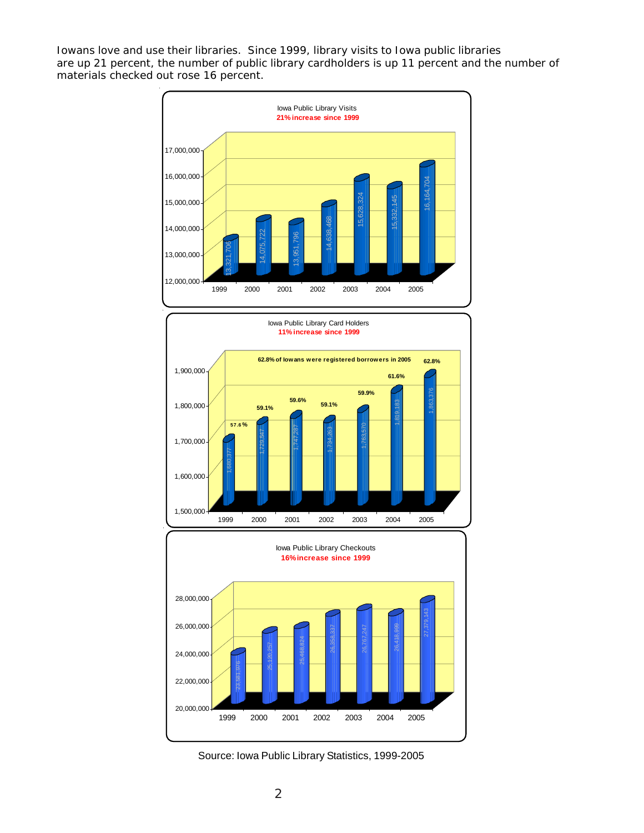Iowans love and use their libraries. Since 1999, library visits to Iowa public libraries are up 21 percent, the number of public library cardholders is up 11 percent and the number of materials checked out rose 16 percent.





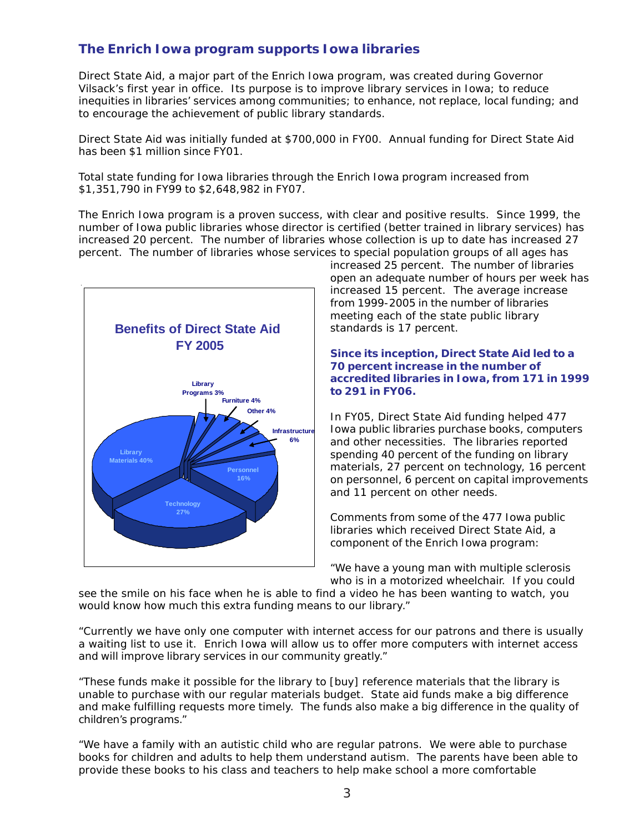# **The Enrich Iowa program supports Iowa libraries**

Direct State Aid, a major part of the Enrich Iowa program, was created during Governor Vilsack's first year in office. Its purpose is to improve library services in Iowa; to reduce inequities in libraries' services among communities; to enhance, not replace, local funding; and to encourage the achievement of public library standards.

Direct State Aid was initially funded at \$700,000 in FY00. Annual funding for Direct State Aid has been \$1 million since FY01.

Total state funding for Iowa libraries through the Enrich Iowa program increased from \$1,351,790 in FY99 to \$2,648,982 in FY07.

The Enrich Iowa program is a proven success, with clear and positive results. Since 1999, the number of Iowa public libraries whose director is certified (better trained in library services) has increased 20 percent. The number of libraries whose collection is up to date has increased 27 percent. The number of libraries whose services to special population groups of all ages has



increased 25 percent. The number of libraries open an adequate number of hours per week has increased 15 percent. The average increase from 1999-2005 in the number of libraries meeting each of the state public library standards is 17 percent.

#### *Since its inception, Direct State Aid led to a 70 percent increase in the number of accredited libraries in Iowa, from 171 in 1999 to 291 in FY06.*

In FY05, Direct State Aid funding helped 477 Iowa public libraries purchase books, computers and other necessities. The libraries reported spending 40 percent of the funding on library materials, 27 percent on technology, 16 percent on personnel, 6 percent on capital improvements and 11 percent on other needs.

Comments from some of the 477 Iowa public libraries which received Direct State Aid, a component of the Enrich Iowa program:

"We have a young man with multiple sclerosis who is in a motorized wheelchair. If you could

see the smile on his face when he is able to find a video he has been wanting to watch, you would know how much this extra funding means to our library."

"Currently we have only one computer with internet access for our patrons and there is usually a waiting list to use it. Enrich Iowa will allow us to offer more computers with internet access and will improve library services in our community greatly."

"These funds make it possible for the library to [buy] reference materials that the library is unable to purchase with our regular materials budget. State aid funds make a big difference and make fulfilling requests more timely. The funds also make a big difference in the quality of children's programs."

"We have a family with an autistic child who are regular patrons. We were able to purchase books for children and adults to help them understand autism. The parents have been able to provide these books to his class and teachers to help make school a more comfortable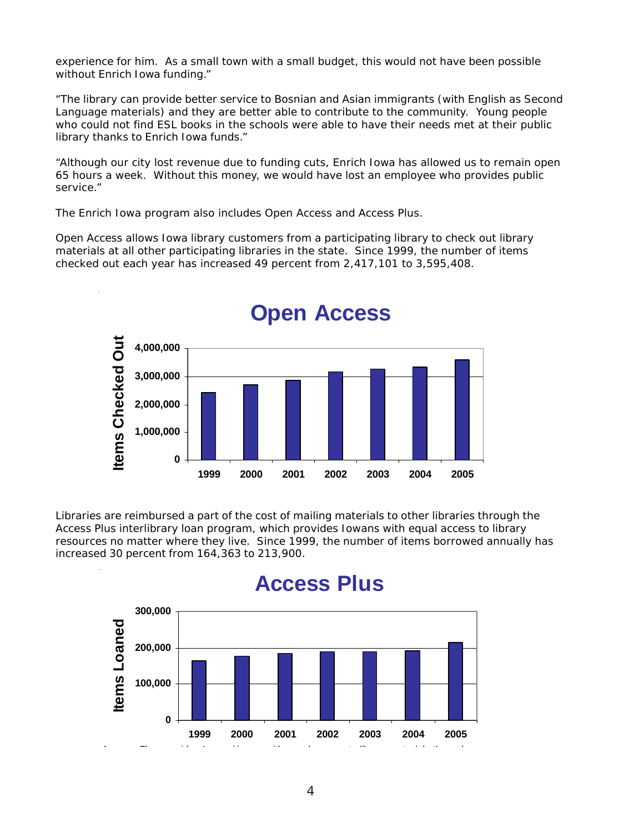experience for him. As a small town with a small budget, this would not have been possible without Enrich Iowa funding."

"The library can provide better service to Bosnian and Asian immigrants (with English as Second Language materials) and they are better able to contribute to the community. Young people who could not find ESL books in the schools were able to have their needs met at their public library thanks to Enrich Iowa funds."

"Although our city lost revenue due to funding cuts, Enrich Iowa has allowed us to remain open 65 hours a week. Without this money, we would have lost an employee who provides public service."

The Enrich Iowa program also includes Open Access and Access Plus.

Open Access allows Iowa library customers from a participating library to check out library materials at all other participating libraries in the state. Since 1999, the number of items checked out each year has increased 49 percent from 2,417,101 to 3,595,408.



# **Open Access**

Libraries are reimbursed a part of the cost of mailing materials to other libraries through the Access Plus interlibrary loan program, which provides Iowans with equal access to library resources no matter where they live. Since 1999, the number of items borrowed annually has increased 30 percent from 164,363 to 213,900.

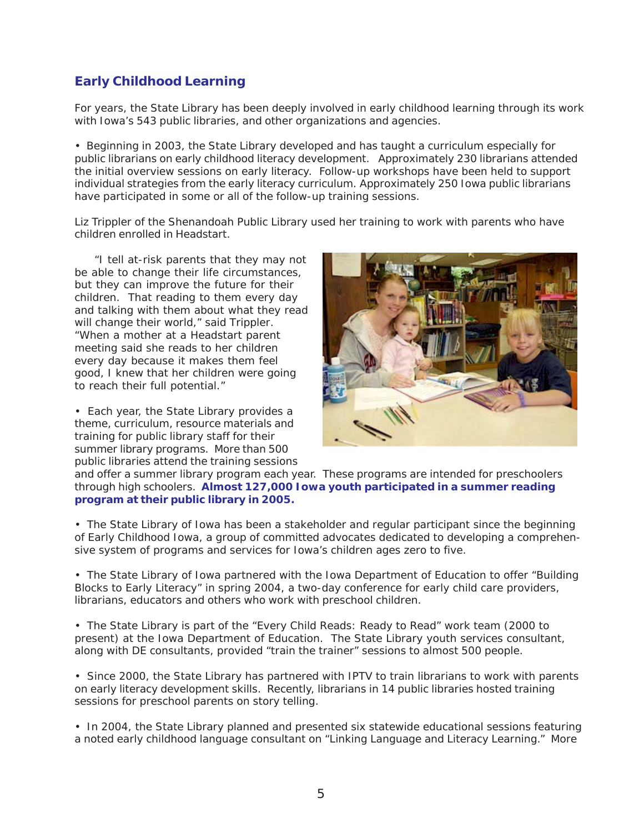# **Early Childhood Learning**

For years, the State Library has been deeply involved in early childhood learning through its work with Iowa's 543 public libraries, and other organizations and agencies.

• Beginning in 2003, the State Library developed and has taught a curriculum especially for public librarians on early childhood literacy development. Approximately 230 librarians attended the initial overview sessions on early literacy. Follow-up workshops have been held to support individual strategies from the early literacy curriculum. Approximately 250 Iowa public librarians have participated in some or all of the follow-up training sessions.

Liz Trippler of the Shenandoah Public Library used her training to work with parents who have children enrolled in Headstart.

 *"I tell at-risk parents that they may not be able to change their life circumstances, but they can improve the future for their children. That reading to them every day and talking with them about what they read will change their world," said Trippler. "When a mother at a Headstart parent meeting said she reads to her children every day because it makes them feel good, I knew that her children were going to reach their full potential."*

• Each year, the State Library provides a theme, curriculum, resource materials and training for public library staff for their summer library programs. More than 500 public libraries attend the training sessions



and offer a summer library program each year. These programs are intended for preschoolers through high schoolers. **Almost 127,000 Iowa youth participated in a summer reading program at their public library in 2005.**

• The State Library of Iowa has been a stakeholder and regular participant since the beginning of Early Childhood Iowa, a group of committed advocates dedicated to developing a comprehensive system of programs and services for Iowa's children ages zero to five.

• The State Library of Iowa partnered with the Iowa Department of Education to offer "Building Blocks to Early Literacy" in spring 2004, a two-day conference for early child care providers, librarians, educators and others who work with preschool children.

• The State Library is part of the "Every Child Reads: Ready to Read" work team (2000 to present) at the Iowa Department of Education. The State Library youth services consultant, along with DE consultants, provided "train the trainer" sessions to almost 500 people.

• Since 2000, the State Library has partnered with IPTV to train librarians to work with parents on early literacy development skills. Recently, librarians in 14 public libraries hosted training sessions for preschool parents on story telling.

• In 2004, the State Library planned and presented six statewide educational sessions featuring a noted early childhood language consultant on "Linking Language and Literacy Learning." More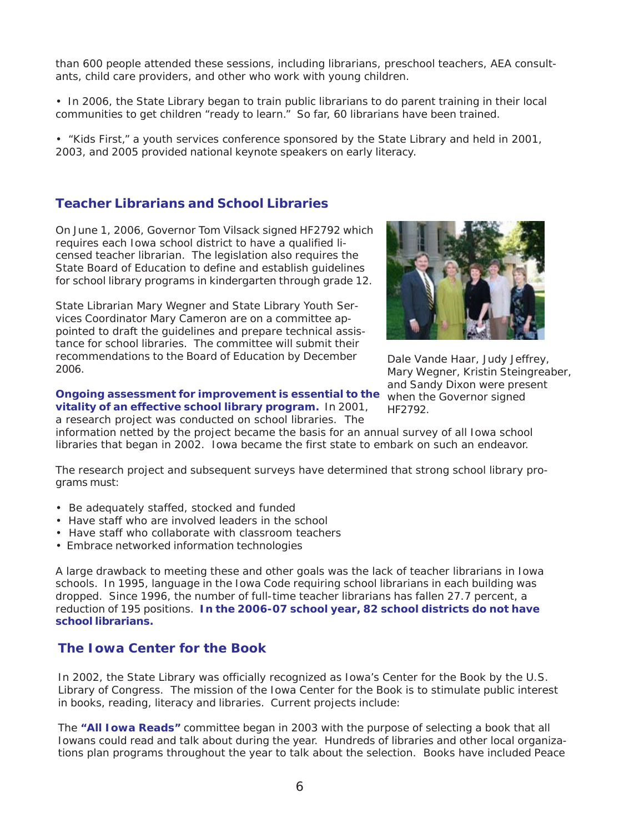than 600 people attended these sessions, including librarians, preschool teachers, AEA consultants, child care providers, and other who work with young children.

• In 2006, the State Library began to train public librarians to do parent training in their local communities to get children "ready to learn." So far, 60 librarians have been trained.

• "Kids First," a youth services conference sponsored by the State Library and held in 2001, 2003, and 2005 provided national keynote speakers on early literacy.

#### **Teacher Librarians and School Libraries**

On June 1, 2006, Governor Tom Vilsack signed HF2792 which requires each Iowa school district to have a qualified licensed teacher librarian. The legislation also requires the State Board of Education to define and establish guidelines for school library programs in kindergarten through grade 12.

State Librarian Mary Wegner and State Library Youth Services Coordinator Mary Cameron are on a committee appointed to draft the guidelines and prepare technical assistance for school libraries. The committee will submit their recommendations to the Board of Education by December 2006.

#### **Ongoing assessment for improvement is essential to the vitality of an effective school library program.** In 2001,

a research project was conducted on school libraries. The



*Dale Vande Haar, Judy Jeffrey, Mary Wegner, Kristin Steingreaber, and Sandy Dixon were present when the Governor signed HF2792.*

information netted by the project became the basis for an annual survey of all Iowa school libraries that began in 2002. Iowa became the first state to embark on such an endeavor.

The research project and subsequent surveys have determined that strong school library programs must:

- Be adequately staffed, stocked and funded
- Have staff who are involved leaders in the school
- Have staff who collaborate with classroom teachers
- Embrace networked information technologies

A large drawback to meeting these and other goals was the lack of teacher librarians in Iowa schools. In 1995, language in the Iowa Code requiring school librarians in each building was dropped. Since 1996, the number of full-time teacher librarians has fallen 27.7 percent, a reduction of 195 positions. **In the 2006-07 school year, 82 school districts do not have school librarians.**

### **The Iowa Center for the Book**

In 2002, the State Library was officially recognized as Iowa's Center for the Book by the U.S. Library of Congress. The mission of the Iowa Center for the Book is to stimulate public interest in books, reading, literacy and libraries. Current projects include:

The **"All Iowa Reads"** committee began in 2003 with the purpose of selecting a book that all Iowans could read and talk about during the year. Hundreds of libraries and other local organizations plan programs throughout the year to talk about the selection. Books have included *Peace*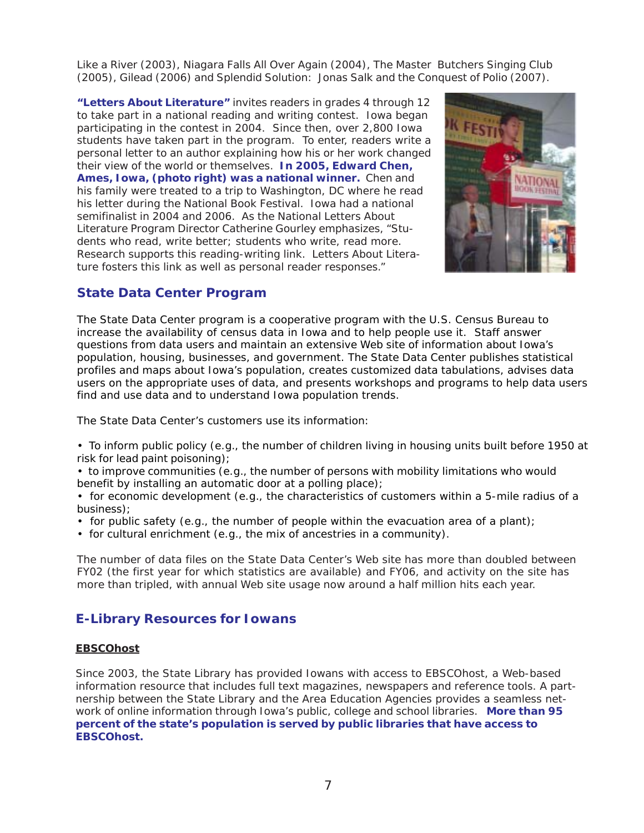*Like a River* (2003), *Niagara Falls All Over Again* (2004), *The Master Butchers Singing Club* (2005), *Gilead* (2006) and *Splendid Solution: Jonas Salk and the Conquest of Polio* (2007).

**"Letters About Literature"** invites readers in grades 4 through 12 to take part in a national reading and writing contest. Iowa began participating in the contest in 2004. Since then, over 2,800 Iowa students have taken part in the program. To enter, readers write a personal letter to an author explaining how his or her work changed their view of the world or themselves. **In 2005, Edward Chen, Ames, Iowa, (photo right) was a national winner.** Chen and his family were treated to a trip to Washington, DC where he read his letter during the National Book Festival. Iowa had a national semifinalist in 2004 and 2006. As the National Letters About Literature Program Director Catherine Gourley emphasizes, "Students who read, write better; students who write, read more. Research supports this reading-writing link. Letters About Literature fosters this link as well as personal reader responses."



## **State Data Center Program**

The State Data Center program is a cooperative program with the U.S. Census Bureau to increase the availability of census data in Iowa and to help people use it. Staff answer questions from data users and maintain an extensive Web site of information about Iowa's population, housing, businesses, and government. The State Data Center publishes statistical profiles and maps about Iowa's population, creates customized data tabulations, advises data users on the appropriate uses of data, and presents workshops and programs to help data users find and use data and to understand Iowa population trends.

The State Data Center's customers use its information:

- To inform public policy (e.g., the number of children living in housing units built before 1950 at risk for lead paint poisoning);
- to improve communities (e.g., the number of persons with mobility limitations who would benefit by installing an automatic door at a polling place);
- for economic development (e.g., the characteristics of customers within a 5-mile radius of a business);
- for public safety (e.g., the number of people within the evacuation area of a plant);
- for cultural enrichment (e.g., the mix of ancestries in a community).

The number of data files on the State Data Center's Web site has more than doubled between FY02 (the first year for which statistics are available) and FY06, and activity on the site has more than tripled, with annual Web site usage now around a half million hits each year.

### **E-Library Resources for Iowans**

#### **EBSCOhost**

Since 2003, the State Library has provided Iowans with access to EBSCOhost, a Web-based information resource that includes full text magazines, newspapers and reference tools. A partnership between the State Library and the Area Education Agencies provides a seamless network of online information through Iowa's public, college and school libraries. **More than 95 percent of the state's population is served by public libraries that have access to EBSCOhost.**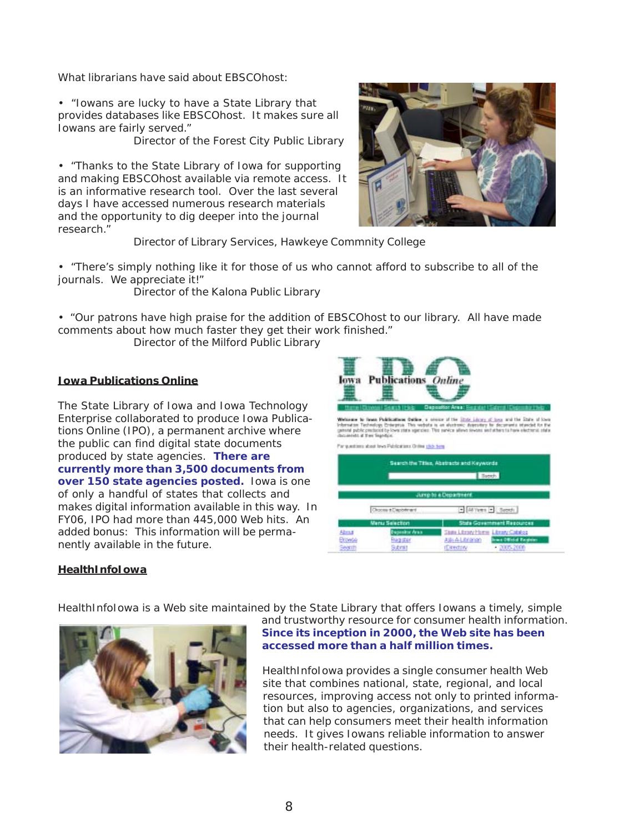What librarians have said about EBSCOhost:

• "Iowans are lucky to have a State Library that provides databases like EBSCOhost. It makes sure all Iowans are fairly served."

Director of the Forest City Public Library

• "Thanks to the State Library of Iowa for supporting and making EBSCOhost available via remote access. It is an informative research tool. Over the last several days I have accessed numerous research materials and the opportunity to dig deeper into the journal research."



Director of Library Services, Hawkeye Commnity College

• "There's simply nothing like it for those of us who cannot afford to subscribe to all of the journals. We appreciate it!"

Director of the Kalona Public Library

• "Our patrons have high praise for the addition of EBSCOhost to our library. All have made comments about how much faster they get their work finished."

Director of the Milford Public Library

#### **Iowa Publications Online**

The State Library of Iowa and Iowa Technology Enterprise collaborated to produce Iowa Publications Online (IPO), a permanent archive where the public can find digital state documents produced by state agencies. **There are currently more than 3,500 documents from over 150 state agencies posted.** Iowa is one of only a handful of states that collects and makes digital information available in this way. In FY06, IPO had more than 445,000 Web hits. An added bonus: This information will be permanently available in the future.



hawe to heat Poldcation delor, a series of the <u>State Lines Line</u> and the Sate researched by the property of the State of the State of the State of the State of the State of the State of the State of the State of the State

For questions about love Publications Online stick term

|                              |                                            | <b>Baned</b>                                                                                                             |
|------------------------------|--------------------------------------------|--------------------------------------------------------------------------------------------------------------------------|
|                              |                                            | Jump to a Department                                                                                                     |
|                              | Choose # Depotment                         | - All Yems + Seconds                                                                                                     |
|                              | <b>Menu Selection</b>                      | State Government Resources                                                                                               |
| Abrut<br><b>EYOVY</b><br>ANT | agusitor Aras<br><b>Nagistar</b><br>Submit | State Library Home: Library Catalog<br><b>Irws Official Register</b><br>Ask-A Litrarian<br>$-4.3005,2000$<br>rDirectory. |

#### **HealthInfoIowa**

HealthInfoIowa is a Web site maintained by the State Library that offers Iowans a timely, simple



and trustworthy resource for consumer health information. **Since its inception in 2000, the Web site has been accessed more than a half million times.**

HealthInfoIowa provides a single consumer health Web site that combines national, state, regional, and local resources, improving access not only to printed information but also to agencies, organizations, and services that can help consumers meet their health information needs. It gives Iowans reliable information to answer their health-related questions.